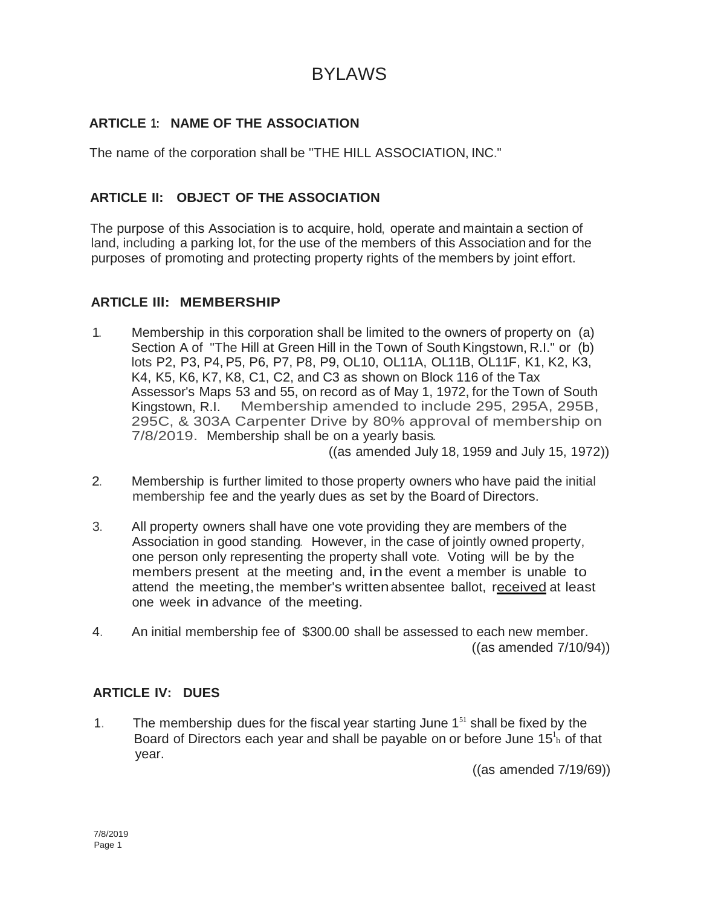# BYLAWS

# **ARTICLE 1: NAME OF THE ASSOCIATION**

The name of the corporation shall be "THE HILL ASSOCIATION, INC."

# **ARTICLE II: OBJECT OF THE ASSOCIATION**

The purpose of this Association is to acquire, hold, operate and maintain a section of land, including a parking lot, for the use of the members of this Association and for the purposes of promoting and protecting property rights of the members by joint effort.

#### **ARTICLE Ill: MEMBERSHIP**

1. Membership in this corporation shall be limited to the owners of property on (a) Section A of "The Hill at Green Hill in the Town of South Kingstown, R.I." or (b) lots P2, P3, P4, P5, P6, P7, P8, P9, OL10, OL11A, OL11B, OL11F, K1, K2, K3, K4, K5, K6, K7, K8, C1, C2, and C3 as shown on Block 116 of the Tax Assessor's Maps 53 and 55, on record as of May 1, 1972, for the Town of South Kingstown, R.I. Membership amended to include 295, 295A, 295B, 295C, & 303A Carpenter Drive by 80% approval of membership on 7/8/2019. Membership shall be on a yearly basis.

((as amended July 18, 1959 and July 15, 1972))

- 2. Membership is further limited to those property owners who have paid the initial membership fee and the yearly dues as set by the Board of Directors.
- 3. All property owners shall have one vote providing they are members of the Association in good standing. However, in the case of jointly owned property, one person only representing the property shall vote. Voting will be by the members present at the meeting and, inthe event a member is unable to attend the meeting, the member's written absentee ballot, received at least one week in advance of the meeting.
- 4. An initial membership fee of \$300.00 shall be assessed to each new member. ((as amended 7/10/94))

## **ARTICLE IV: DUES**

Board of Directors each year and shall be payable on or before June 15 ${}^{1}_{h}$  of that 1. The membership dues for the fiscal year starting June  $1<sup>51</sup>$  shall be fixed by the year.

((as amended 7/19/69))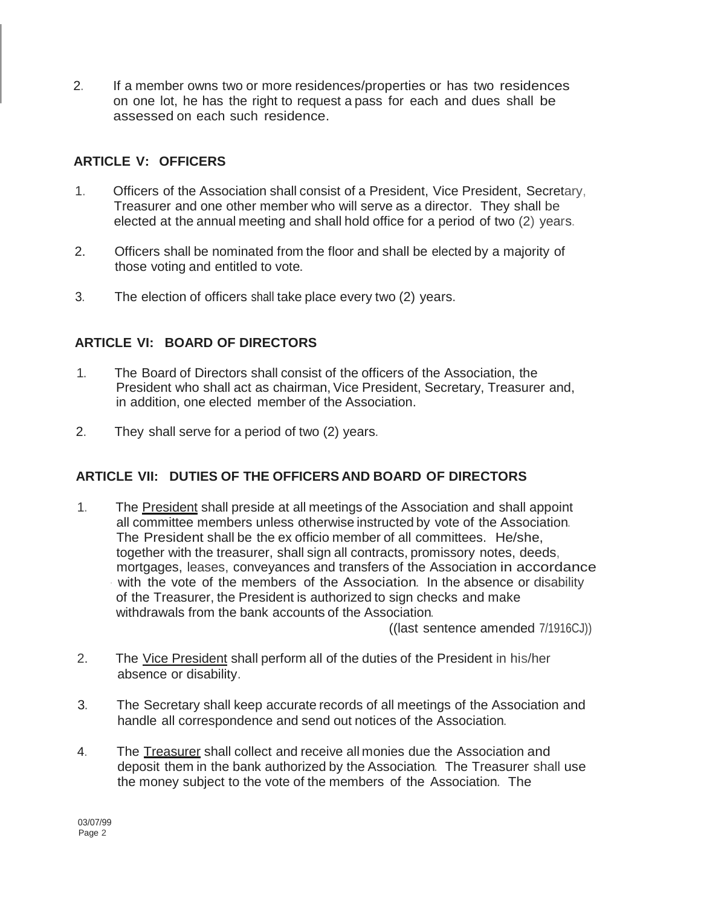2. If a member owns two or more residences/properties or has two residences on one lot, he has the right to request a pass for each and dues shall be assessed on each such residence.

# **ARTICLE V: OFFICERS**

- 1. Officers of the Association shall consist of a President, Vice President, Secretary, Treasurer and one other member who will serve as a director. They shall be elected at the annual meeting and shall hold office for a period of two (2) years.
- 2. Officers shall be nominated from the floor and shall be elected by a majority of those voting and entitled to vote.
- 3. The election of officers shall take place every two (2) years.

# **ARTICLE VI: BOARD OF DIRECTORS**

- 1. The Board of Directors shall consist of the officers of the Association, the President who shall act as chairman, Vice President, Secretary, Treasurer and, in addition, one elected member of the Association.
- 2. They shall serve for a period of two (2) years.

# **ARTICLE VII: DUTIES OF THE OFFICERS AND BOARD OF DIRECTORS**

1. The President shall preside at all meetings of the Association and shall appoint all committee members unless otherwise instructed by vote of the Association. The President shall be the ex officio member of all committees. He/she, together with the treasurer, shall sign all contracts, promissory notes, deeds, mortgages, leases, conveyances and transfers of the Association in accordance with the vote of the members of the Association. In the absence or disability of the Treasurer, the President is authorized to sign checks and make withdrawals from the bank accounts of the Association.

((last sentence amended 7/1916CJ))

- 2. The Vice President shall perform all of the duties of the President in his/her absence or disability.
- 3. The Secretary shall keep accurate records of all meetings of the Association and handle all correspondence and send out notices of the Association.
- 4. The Treasurer shall collect and receive all monies due the Association and deposit them in the bank authorized by the Association. The Treasurer shall use the money subject to the vote of the members of the Association. The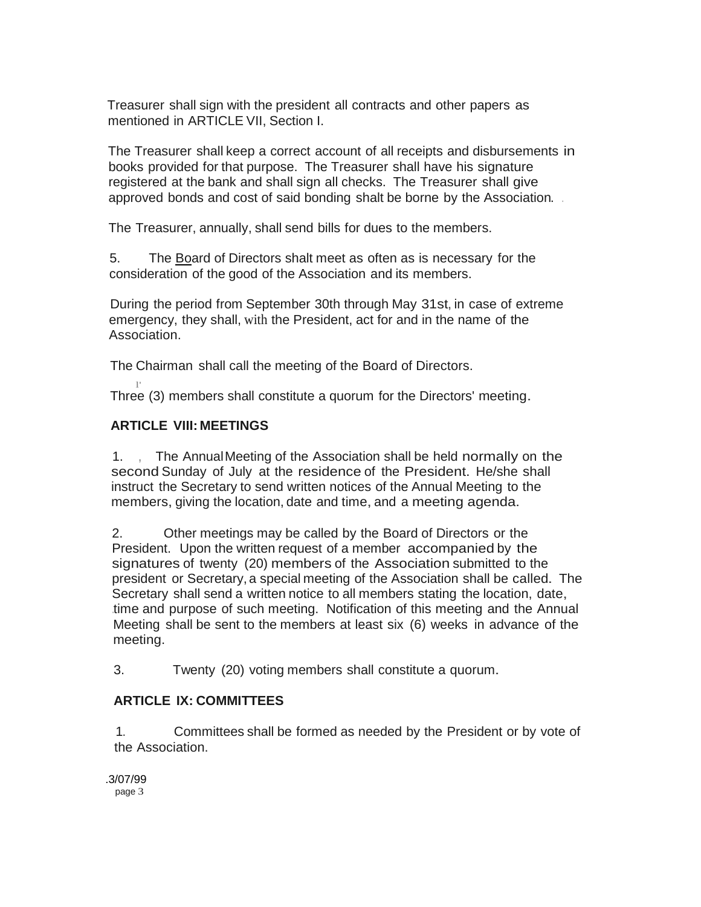Treasurer shall sign with the president all contracts and other papers as mentioned in ARTICLE VII, Section I.

The Treasurer shall keep a correct account of all receipts and disbursements in books provided for that purpose. The Treasurer shall have his signature registered at the bank and shall sign all checks. The Treasurer shall give approved bonds and cost of said bonding shalt be borne by the Association. .

The Treasurer, annually, shall send bills for dues to the members.

5. The Board of Directors shalt meet as often as is necessary for the consideration of the good of the Association and its members.

During the period from September 30th through May 31st, in case of extreme emergency, they shall, with the President, act for and in the name of the Association.

The Chairman shall call the meeting of the Board of Directors.

Three (3) members shall constitute a quorum for the Directors' meeting.

# **ARTICLE VIII: MEETINGS**

1. , The AnnualMeeting of the Association shall be held normally on the second Sunday of July at the residence of the President. He/she shall instruct the Secretary to send written notices of the Annual Meeting to the members, giving the location, date and time, and a meeting agenda.

2. Other meetings may be called by the Board of Directors or the President. Upon the written request of a member accompanied by the signatures of twenty (20) members of the Association submitted to the president or Secretary, a special meeting of the Association shall be called. The Secretary shall send a written notice to all members stating the location, date, .time and purpose of such meeting. Notification of this meeting and the Annual Meeting shall be sent to the members at least six (6) weeks in advance of the meeting.

3. Twenty (20) voting members shall constitute a quorum.

## **ARTICLE IX: COMMITTEES**

1. Committees shall be formed as needed by the President or by vote of the Association.

.3/07/99 page 3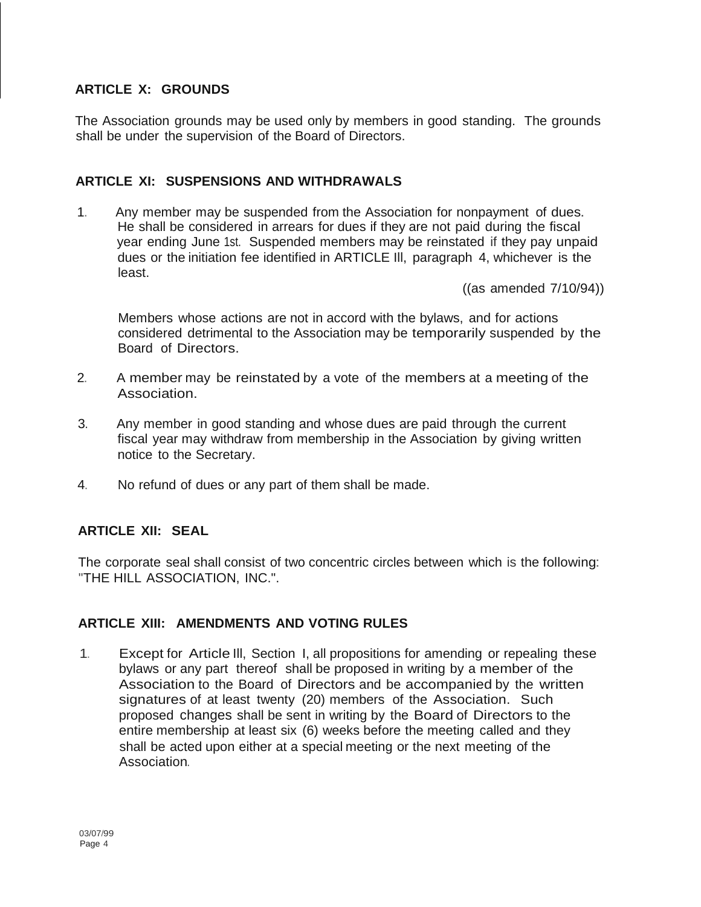# **ARTICLE X: GROUNDS**

The Association grounds may be used only by members in good standing. The grounds shall be under the supervision of the Board of Directors.

# **ARTICLE XI: SUSPENSIONS AND WITHDRAWALS**

1. Any member may be suspended from the Association for nonpayment of dues. He shall be considered in arrears for dues if they are not paid during the fiscal year ending June 1st. Suspended members may be reinstated if they pay unpaid dues or the initiation fee identified in ARTICLE Ill, paragraph 4, whichever is the least.

((as amended 7/10/94))

Members whose actions are not in accord with the bylaws, and for actions considered detrimental to the Association may be temporarily suspended by the Board of Directors.

- 2. A member may be reinstated by a vote of the members at a meeting of the Association.
- 3. Any member in good standing and whose dues are paid through the current fiscal year may withdraw from membership in the Association by giving written notice to the Secretary.
- 4. No refund of dues or any part of them shall be made.

## **ARTICLE XII: SEAL**

The corporate seal shall consist of two concentric circles between which is the following: "THE HILL ASSOCIATION, INC.".

## **ARTICLE XIII: AMENDMENTS AND VOTING RULES**

1. Except for Article Ill, Section I, all propositions for amending or repealing these bylaws or any part thereof shall be proposed in writing by a member of the Association to the Board of Directors and be accompanied by the written signatures of at least twenty (20) members of the Association. Such proposed changes shall be sent in writing by the Board of Directors to the entire membership at least six (6) weeks before the meeting called and they shall be acted upon either at a special meeting or the next meeting of the Association.